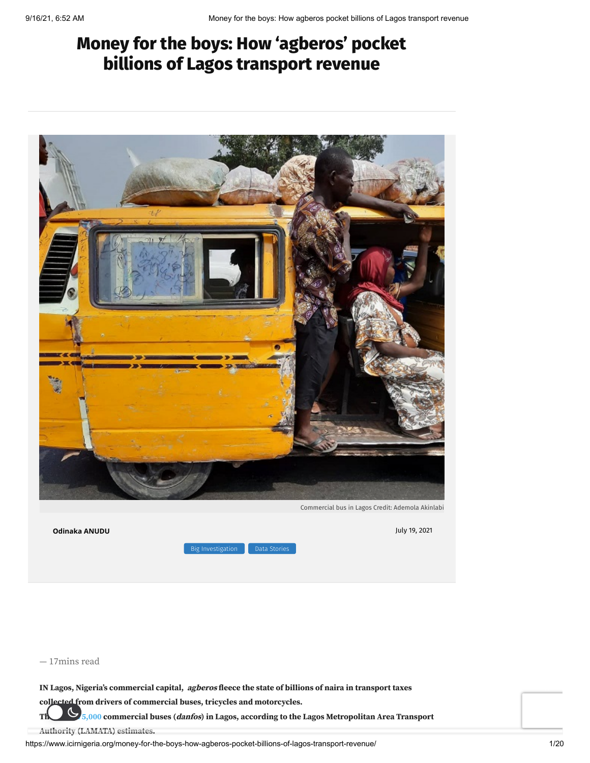# **Money for the boys: How 'agberos' pocket billions of Lagos transport revenue**



**[Odinaka](https://www.icirnigeria.org/author/oanudu/) ANUDU** July 19, 2021  $B$  [Investigation](https://www.icirnigeria.org/category/big-investigation/) **D** Data [Stories](https://www.icirnigeria.org/category/data-stories/)

— 17mins read

**IN Lagos, Nigeria's commercial capital, agberos fleece the state of billions of naira in transport taxes**

**collected from drivers of commercial buses, tricycles and motorcycles.**

**There are [75,000](https://lamata.lagosstate.gov.ng/) commercial buses (danfos) in Lagos, according to the Lagos Metropolitan Area Transport**

**Authority (LAMATA) estimates.**

https://www.icirnigeria.org/money-for-the-boys-how-agberos-pocket-billions-of-lagos-transport-revenue/ 1/20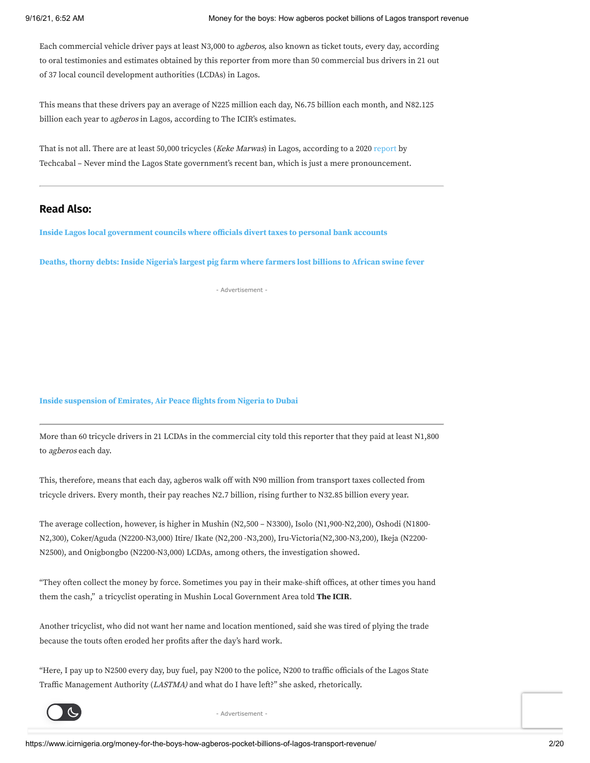Each commercial vehicle driver pays at least N3,000 to agberos, also known as ticket touts, every day, according to oral testimonies and estimates obtained by this reporter from more than 50 commercial bus drivers in 21 out of 37 local council development authorities (LCDAs) in Lagos.

This means that these drivers pay an average of N225 million each day, N6.75 billion each month, and N82.125 billion each year to *agberos* in Lagos, according to The ICIR's estimates.

That is not all. There are at least 50,000 tricycles (Keke Marwas) in Lagos, according to a 2020 [report](https://www.aljazeera.com/features/2020/10/14/thugs-cops-and-unions-the-trials-of-public-bus-drivers-in-lagos) by Techcabal – Never mind the Lagos State government's recent ban, which is just a mere pronouncement.

## **Read Also:**

**Inside Lagos local [government](https://www.icirnigeria.org/inside-lagos-local-government-councils-where-officials-divert-taxes-to-personal-bank-accounts/) councils where officials divert taxes to personal bank accounts**

**Deaths, thorny debts: Inside [Nigeria's](https://www.icirnigeria.org/deaths-thorny-debts-inside-nigerias-largest-pig-farm-where-farmers-lost-billions-to-african-swine-fever/) largest pig farm where farmers lost billions to African swine fever**

- Advertisement -

#### **Inside [suspension](https://www.icirnigeria.org/inside-suspension-of-emirates-air-peace-flights-from-nigeria-to-dubai/) of Emirates, Air Peace flights from Nigeria to Dubai**

More than 60 tricycle drivers in 21 LCDAs in the commercial city told this reporter that they paid at least N1,800 to agberos each day.

This, therefore, means that each day, agberos walk off with N90 million from transport taxes collected from tricycle drivers. Every month, their pay reaches N2.7 billion, rising further to N32.85 billion every year.

The average collection, however, is higher in Mushin (N2,500 – N3300), Isolo (N1,900-N2,200), Oshodi (N1800- N2,300), Coker/Aguda (N2200-N3,000) Itire/ Ikate (N2,200 -N3,200), Iru-Victoria(N2,300-N3,200), Ikeja (N2200- N2500), and Onigbongbo (N2200-N3,000) LCDAs, among others, the investigation showed.

"They often collect the money by force. Sometimes you pay in their make-shift offices, at other times you hand them the cash," a tricyclist operating in Mushin Local Government Area told **The ICIR**.

Another tricyclist, who did not want her name and location mentioned, said she was tired of plying the trade because the touts often eroded her profits after the day's hard work.

"Here, I pay up to N2500 every day, buy fuel, pay N200 to the police, N200 to traffic officials of the Lagos State Traffic Management Authority (LASTMA) and what do I have left?" she asked, rhetorically.



- Advertisement -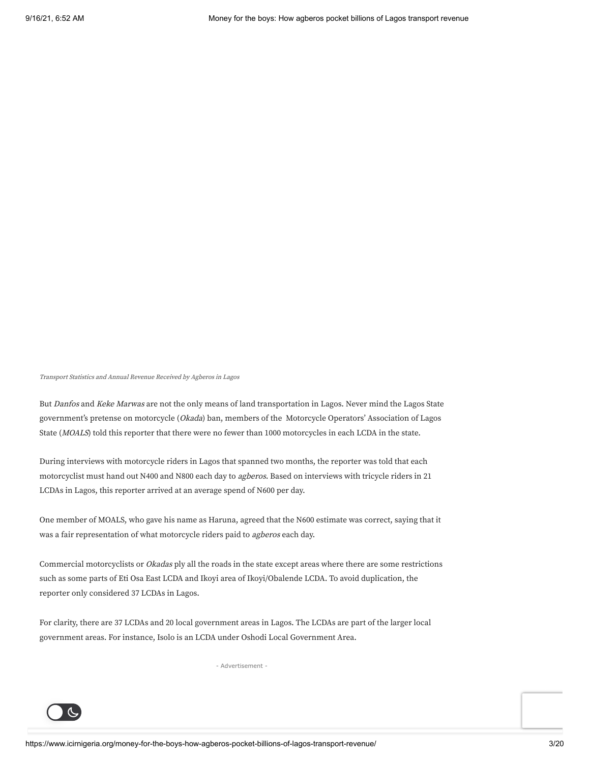Transport Statistics and Annual Revenue Received by Agberos in Lagos

But Danfos and Keke Marwas are not the only means of land transportation in Lagos. Never mind the Lagos State government's pretense on motorcycle (Okada) ban, members of the Motorcycle Operators' Association of Lagos State (MOALS) told this reporter that there were no fewer than 1000 motorcycles in each LCDA in the state.

During interviews with motorcycle riders in Lagos that spanned two months, the reporter was told that each motorcyclist must hand out N400 and N800 each day to agberos. Based on interviews with tricycle riders in 21 LCDAs in Lagos, this reporter arrived at an average spend of N600 per day.

One member of MOALS, who gave his name as Haruna, agreed that the N600 estimate was correct, saying that it was a fair representation of what motorcycle riders paid to agberos each day.

Commercial motorcyclists or Okadas ply all the roads in the state except areas where there are some restrictions such as some parts of Eti Osa East LCDA and Ikoyi area of Ikoyi/Obalende LCDA. To avoid duplication, the reporter only considered 37 LCDAs in Lagos.

For clarity, there are 37 LCDAs and 20 local government areas in Lagos. The LCDAs are part of the larger local government areas. For instance, Isolo is an LCDA under Oshodi Local Government Area.

- Advertisement -

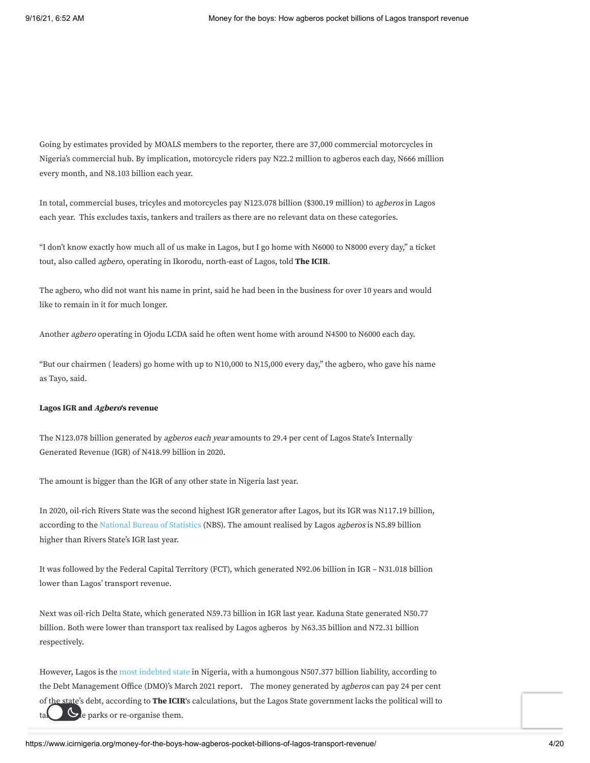Going by estimates provided by MOALS members to the reporter, there are 37,000 commercial motorcycles in Nigeria's commercial hub. By implication, motorcycle riders pay N22.2 million to agberos each day, N666 million every month, and N8.103 billion each year.

In total, commercial buses, tricyles and motorcycles pay N123.078 billion (\$300.19 million) to agberos in Lagos each year. This excludes taxis, tankers and trailers as there are no relevant data on these categories.

"I don't know exactly how much all of us make in Lagos, but I go home with N6000 to N8000 every day," a ticket tout, also called agbero, operating in Ikorodu, north-east of Lagos, told **The ICIR**.

The agbero, who did not want his name in print, said he had been in the business for over 10 years and would like to remain in it for much longer.

Another agbero operating in Ojodu LCDA said he often went home with around N4500 to N6000 each day.

"But our chairmen ( leaders) go home with up to N10,000 to N15,000 every day," the agbero, who gave his name as Tayo, said.

#### **Lagos IGR and Agbero's revenue**

The N123.078 billion generated by agberos each year amounts to 29.4 per cent of Lagos State's Internally Generated Revenue (IGR) of N418.99 billion in 2020.

The amount is bigger than the IGR of any other state in Nigeria last year.

In 2020, oil-rich Rivers State was the second highest IGR generator after Lagos, but its IGR was N117.19 billion, according to the National Bureau of [Statistics](https://guardian.ng/news/igr-lagos-tops-other-states-with-n418-99bn-in-2020/) (NBS). The amount realised by Lagos agberos is N5.89 billion higher than Rivers State's IGR last year.

It was followed by the Federal Capital Territory (FCT), which generated N92.06 billion in IGR – N31.018 billion lower than Lagos' transport revenue.

Next was oil-rich Delta State, which generated N59.73 billion in IGR last year. Kaduna State generated N50.77 billion. Both were lower than transport tax realised by Lagos agberos by N63.35 billion and N72.31 billion respectively.

However, Lagos is the most [indebted](https://www.dmo.gov.ng/debt-profile/sub-national-debts/3590-states-and-fct-domestic-debt-stock-as-at-march-31-2021/file) state in Nigeria, with a humongous N507.377 billion liability, according to the Debt Management Office (DMO)'s March 2021 report. The money generated by agberos can pay 24 per cent of the state's debt, according to **The ICIR**'s calculations, but the Lagos State government lacks the political will to  $\epsilon$  take  $\epsilon$  or  $\epsilon$  parks or re-organise them.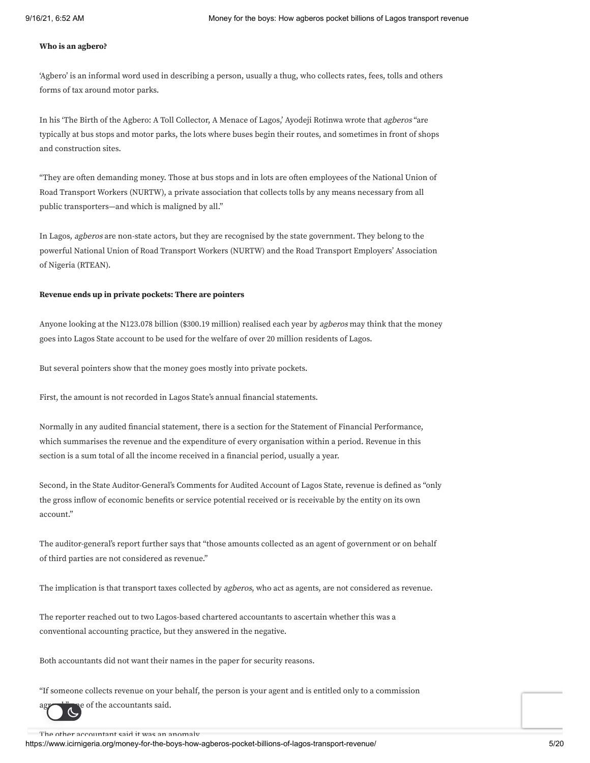### **Who is an agbero?**

'Agbero' is an informal word used in describing a person, usually a thug, who collects rates, fees, tolls and others forms of tax around motor parks.

In his 'The Birth of the Agbero: A Toll Collector, A Menace of Lagos,' Ayodeji Rotinwa wrote that agberos "are typically at bus stops and motor parks, the lots where buses begin their routes, and sometimes in front of shops and construction sites.

"They are often demanding money. Those at bus stops and in lots are often employees of the National Union of Road Transport Workers (NURTW), a private association that collects tolls by any means necessary from all public transporters—and which is maligned by all."

In Lagos, agberos are non-state actors, but they are recognised by the state government. They belong to the powerful National Union of Road Transport Workers (NURTW) and the Road Transport Employers' Association of Nigeria (RTEAN).

#### **Revenue ends up in private pockets: There are pointers**

Anyone looking at the N123.078 billion (\$300.19 million) realised each year by *agberos* may think that the money goes into Lagos State account to be used for the welfare of over 20 million residents of Lagos.

But several pointers show that the money goes mostly into private pockets.

First, the amount is not recorded in Lagos State's annual financial statements.

Normally in any audited financial statement, there is a section for the Statement of Financial Performance, which summarises the revenue and the expenditure of every organisation within a period. Revenue in this section is a sum total of all the income received in a financial period, usually a year.

Second, in the State Auditor-General's Comments for Audited Account of Lagos State, revenue is defined as "only the gross inflow of economic benefits or service potential received or is receivable by the entity on its own account."

The auditor-general's report further says that "those amounts collected as an agent of government or on behalf of third parties are not considered as revenue."

The implication is that transport taxes collected by agberos, who act as agents, are not considered as revenue.

The reporter reached out to two Lagos-based chartered accountants to ascertain whether this was a conventional accounting practice, but they answered in the negative.

Both accountants did not want their names in the paper for security reasons.

"If someone collects revenue on your behalf, the person is your agent and is entitled only to a commission

e of the accountants said.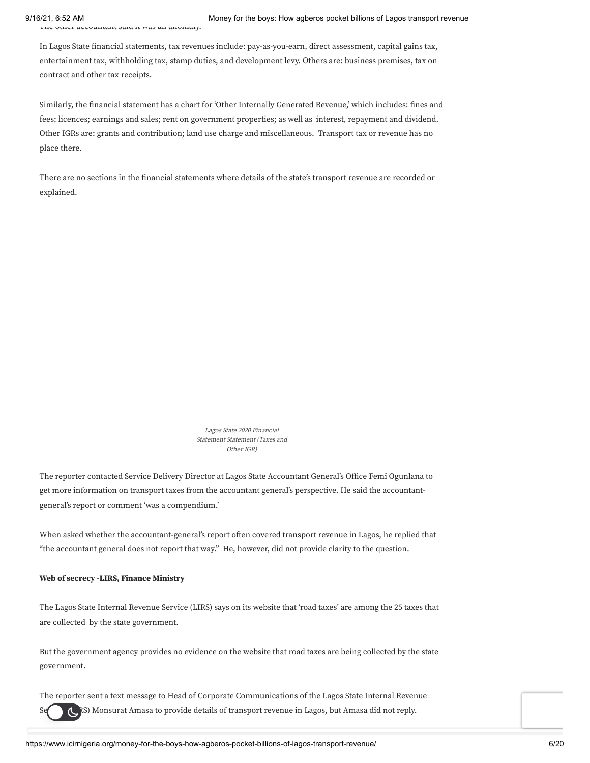The other accountant said it was an anomaly.

In Lagos State financial statements, tax revenues include: pay-as-you-earn, direct assessment, capital gains tax, entertainment tax, withholding tax, stamp duties, and development levy. Others are: business premises, tax on contract and other tax receipts.

Similarly, the financial statement has a chart for 'Other Internally Generated Revenue,' which includes: fines and fees; licences; earnings and sales; rent on government properties; as well as interest, repayment and dividend. Other IGRs are: grants and contribution; land use charge and miscellaneous. Transport tax or revenue has no place there.

There are no sections in the financial statements where details of the state's transport revenue are recorded or explained.

> Lagos State <sup>2020</sup> Financial Statement Statement (Taxes and Other IGR)

The reporter contacted Service Delivery Director at Lagos State Accountant General's Office Femi Ogunlana to get more information on transport taxes from the accountant general's perspective. He said the accountantgeneral's report or comment 'was a compendium.'

When asked whether the accountant-general's report often covered transport revenue in Lagos, he replied that "the accountant general does not report that way." He, however, did not provide clarity to the question.

#### **Web of secrecy -LIRS, Finance Ministry**

The Lagos State Internal Revenue Service (LIRS) says on its website that 'road taxes' are among the 25 taxes that are collected by the state government.

But the government agency provides no evidence on the website that road taxes are being collected by the state government.

The reporter sent a text message to Head of Corporate Communications of the Lagos State Internal Revenue

Service (NRS) Monsurat Amasa to provide details of transport revenue in Lagos, but Amasa did not reply.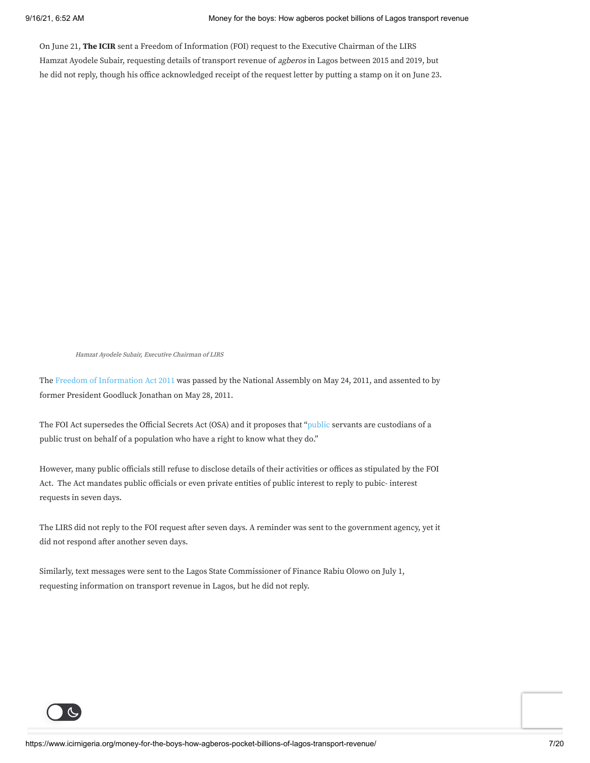On June 21, **The ICIR** sent a Freedom of Information (FOI) request to the Executive Chairman of the LIRS Hamzat Ayodele Subair, requesting details of transport revenue of agberos in Lagos between 2015 and 2019, but he did not reply, though his office acknowledged receipt of the request letter by putting a stamp on it on June 23.

Hamzat Ayodele Subair, Executive Chairman of LIRS

The Freedom of [Information](https://www.ncc.gov.ng/accessible/documents/807-foia) Act 2011 was passed by the National Assembly on May 24, 2011, and assented to by former President Goodluck Jonathan on May 28, 2011.

The FOI Act supersedes the Official Secrets Act (OSA) and it proposes that ["public](https://www.ncc.gov.ng/licensing-regulation/legal/foia) servants are custodians of a public trust on behalf of a population who have a right to know what they do."

However, many public officials still refuse to disclose details of their activities or offices as stipulated by the FOI Act. The Act mandates public officials or even private entities of public interest to reply to pubic- interest requests in seven days.

The LIRS did not reply to the FOI request after seven days. A reminder was sent to the government agency, yet it did not respond after another seven days.

Similarly, text messages were sent to the Lagos State Commissioner of Finance Rabiu Olowo on July 1, requesting information on transport revenue in Lagos, but he did not reply.

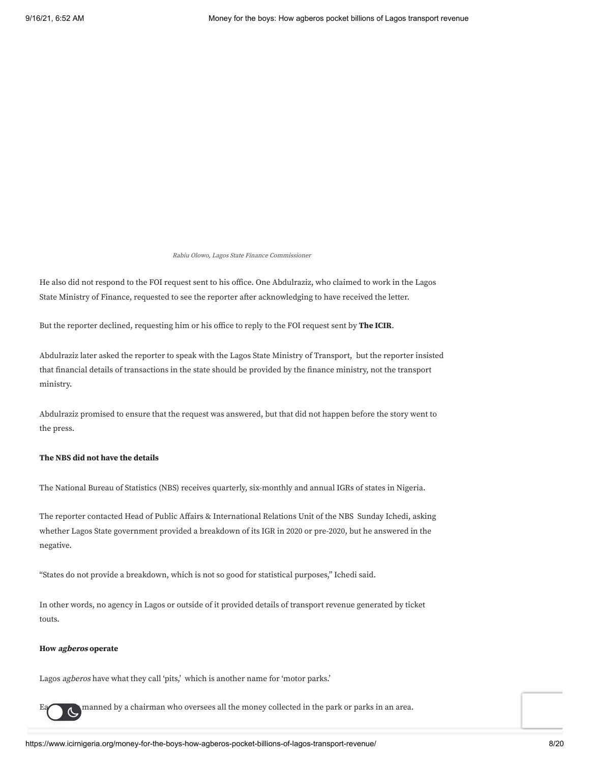Rabiu Olowo, Lagos State Finance Commissioner

He also did not respond to the FOI request sent to his office. One Abdulraziz, who claimed to work in the Lagos State Ministry of Finance, requested to see the reporter after acknowledging to have received the letter.

But the reporter declined, requesting him or his office to reply to the FOI request sent by **The ICIR**.

Abdulraziz later asked the reporter to speak with the Lagos State Ministry of Transport, but the reporter insisted that financial details of transactions in the state should be provided by the finance ministry, not the transport ministry.

Abdulraziz promised to ensure that the request was answered, but that did not happen before the story went to the press.

#### **The NBS did not have the details**

The National Bureau of Statistics (NBS) receives quarterly, six-monthly and annual IGRs of states in Nigeria.

The reporter contacted Head of Public Affairs & International Relations Unit of the NBS Sunday Ichedi, asking whether Lagos State government provided a breakdown of its IGR in 2020 or pre-2020, but he answered in the negative.

"States do not provide a breakdown, which is not so good for statistical purposes," Ichedi said.

In other words, no agency in Lagos or outside of it provided details of transport revenue generated by ticket touts.

#### **How agberos operate**

Lagos agberos have what they call 'pits,' which is another name for 'motor parks.'

manned by a chairman who oversees all the money collected in the park or parks in an area.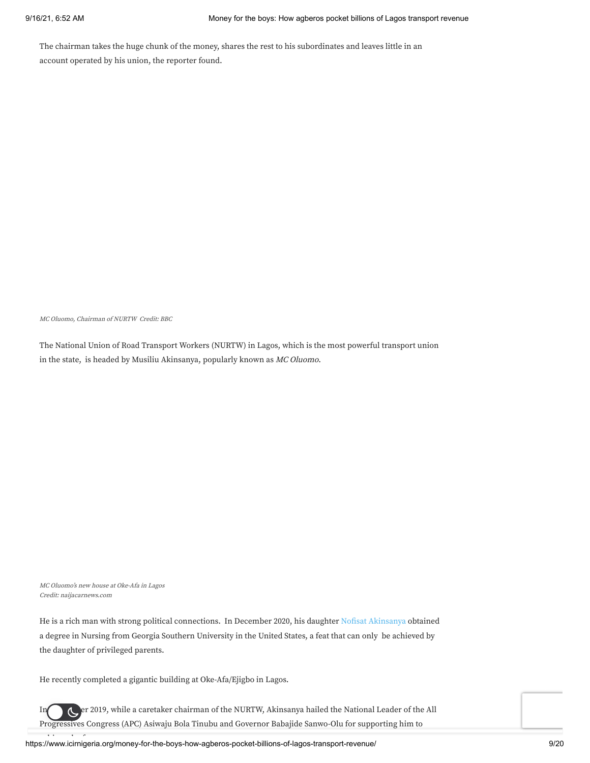The chairman takes the huge chunk of the money, shares the rest to his subordinates and leaves little in an account operated by his union, the reporter found.

MC Oluomo, Chairman of NURTW Credit: BBC

The National Union of Road Transport Workers (NURTW) in Lagos, which is the most powerful transport union in the state, is headed by Musiliu Akinsanya, popularly known as MC Oluomo.

MC Oluomo's new house at Oke-Afa in Lagos Credit: naijacarnews.com

He is a rich man with strong political connections. In December 2020, his daughter Nofisat [Akinsanya](https://lifestyle.thecable.ng/mc-oluomo-my-daughter-got-a-job-before-graduating-from-us-varsity/) obtained a degree in Nursing from Georgia Southern University in the United States, a feat that can only be achieved by the daughter of privileged parents.

He recently completed a gigantic building at Oke-Afa/Ejigbo in Lagos.

In September 2019, while a caretaker chairman of the NURTW, Akinsanya hailed the National Leader of the All Progressives Congress (APC) Asiwaju Bola Tinubu and Governor Babajide Sanwo-Olu for supporting him to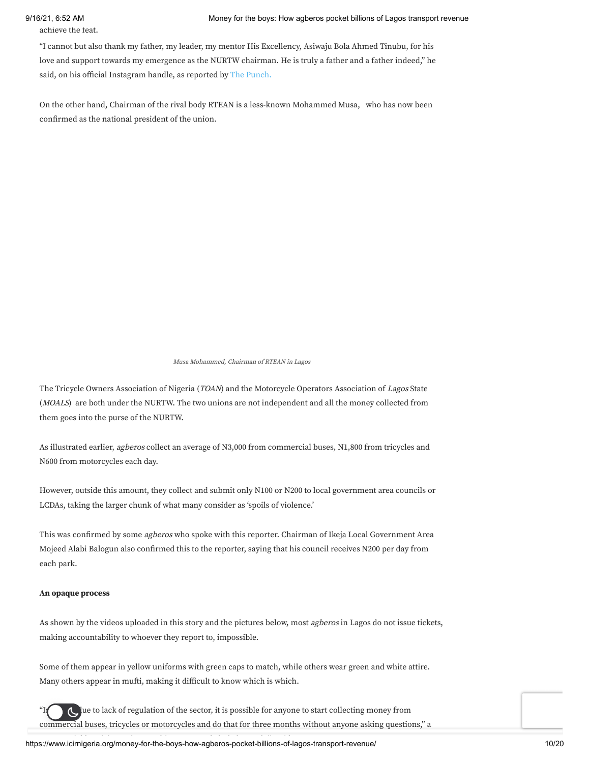#### 9/16/21, 6:52 AM Money for the boys: How agberos pocket billions of Lagos transport revenue

achieve the feat.

"I cannot but also thank my father, my leader, my mentor His Excellency, Asiwaju Bola Ahmed Tinubu, for his love and support towards my emergence as the NURTW chairman. He is truly a father and a father indeed," he said, on his official Instagram handle, as reported by The [Punch.](https://punchng.com/mc-oluomo-hails-tinubu-sanwo-olu-over-nurtw-job/)

On the other hand, Chairman of the rival body RTEAN is a less-known Mohammed Musa, who has now been confirmed as the national president of the union.

#### Musa Mohammed, Chairman of RTEAN in Lagos

The Tricycle Owners Association of Nigeria (TOAN) and the Motorcycle Operators Association of Lagos State (MOALS) are both under the NURTW. The two unions are not independent and all the money collected from them goes into the purse of the NURTW.

As illustrated earlier, agberos collect an average of N3,000 from commercial buses, N1,800 from tricycles and N600 from motorcycles each day.

However, outside this amount, they collect and submit only N100 or N200 to local government area councils or LCDAs, taking the larger chunk of what many consider as 'spoils of violence.'

This was confirmed by some *agberos* who spoke with this reporter. Chairman of Ikeja Local Government Area Mojeed Alabi Balogun also confirmed this to the reporter, saying that his council receives N200 per day from each park.

#### **An opaque process**

As shown by the videos uploaded in this story and the pictures below, most *agberos* in Lagos do not issue tickets, making accountability to whoever they report to, impossible.

Some of them appear in yellow uniforms with green caps to match, while others wear green and white attire. Many others appear in mufti, making it difficult to know which is which.



lue to lack of regulation of the sector, it is possible for anyone to start collecting money from commercial buses, tricycles or motorcycles and do that for three months without anyone asking questions," a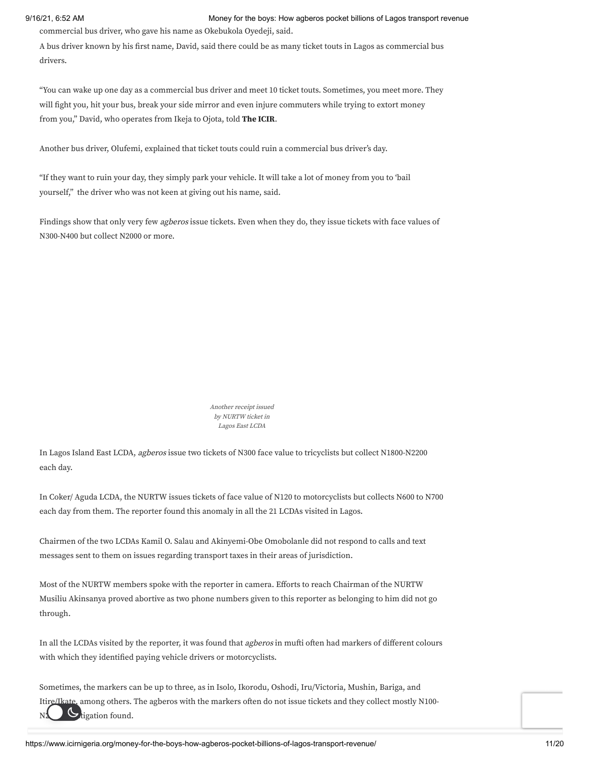#### 9/16/21, 6:52 AM Money for the boys: How agberos pocket billions of Lagos transport revenue

commercial bus driver, who gave his name as Okebukola Oyedeji, said.

A bus driver known by his first name, David, said there could be as many ticket touts in Lagos as commercial bus drivers.

"You can wake up one day as a commercial bus driver and meet 10 ticket touts. Sometimes, you meet more. They will fight you, hit your bus, break your side mirror and even injure commuters while trying to extort money from you," David, who operates from Ikeja to Ojota, told **The ICIR**.

Another bus driver, Olufemi, explained that ticket touts could ruin a commercial bus driver's day.

"If they want to ruin your day, they simply park your vehicle. It will take a lot of money from you to 'bail yourself," the driver who was not keen at giving out his name, said.

Findings show that only very few agberos issue tickets. Even when they do, they issue tickets with face values of N300-N400 but collect N2000 or more.

> Another receipt issued by NURTW ticket in Lagos East LCDA

In Lagos Island East LCDA, agberos issue two tickets of N300 face value to tricyclists but collect N1800-N2200 each day.

In Coker/ Aguda LCDA, the NURTW issues tickets of face value of N120 to motorcyclists but collects N600 to N700 each day from them. The reporter found this anomaly in all the 21 LCDAs visited in Lagos.

Chairmen of the two LCDAs Kamil O. Salau and Akinyemi-Obe Omobolanle did not respond to calls and text messages sent to them on issues regarding transport taxes in their areas of jurisdiction.

Most of the NURTW members spoke with the reporter in camera. Efforts to reach Chairman of the NURTW Musiliu Akinsanya proved abortive as two phone numbers given to this reporter as belonging to him did not go through.

In all the LCDAs visited by the reporter, it was found that *agberos* in mufti often had markers of different colours with which they identified paying vehicle drivers or motorcyclists.

Sometimes, the markers can be up to three, as in Isolo, Ikorodu, Oshodi, Iru/Victoria, Mushin, Bariga, and Itire/Ikate, among others. The agberos with the markers often do not issue tickets and they collect mostly N100-  $N2$  U tigation found.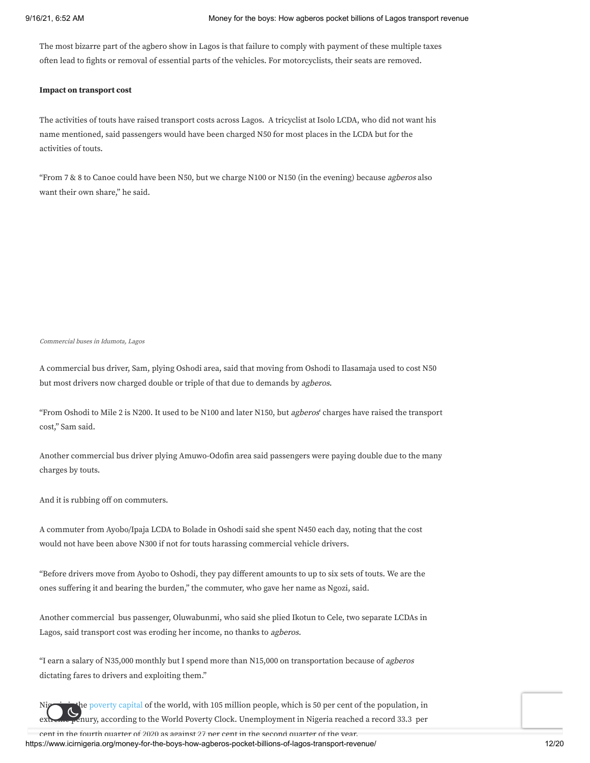The most bizarre part of the agbero show in Lagos is that failure to comply with payment of these multiple taxes often lead to fights or removal of essential parts of the vehicles. For motorcyclists, their seats are removed.

#### **Impact on transport cost**

The activities of touts have raised transport costs across Lagos. A tricyclist at Isolo LCDA, who did not want his name mentioned, said passengers would have been charged N50 for most places in the LCDA but for the activities of touts.

"From 7 & 8 to Canoe could have been N50, but we charge N100 or N150 (in the evening) because *agberos* also want their own share," he said.

Commercial buses in Idumota, Lagos

A commercial bus driver, Sam, plying Oshodi area, said that moving from Oshodi to Ilasamaja used to cost N50 but most drivers now charged double or triple of that due to demands by agberos.

"From Oshodi to Mile 2 is N200. It used to be N100 and later N150, but agberos' charges have raised the transport cost," Sam said.

Another commercial bus driver plying Amuwo-Odofin area said passengers were paying double due to the many charges by touts.

And it is rubbing off on commuters.

A commuter from Ayobo/Ipaja LCDA to Bolade in Oshodi said she spent N450 each day, noting that the cost would not have been above N300 if not for touts harassing commercial vehicle drivers.

"Before drivers move from Ayobo to Oshodi, they pay different amounts to up to six sets of touts. We are the ones suffering it and bearing the burden," the commuter, who gave her name as Ngozi, said.

Another commercial bus passenger, Oluwabunmi, who said she plied Ikotun to Cele, two separate LCDAs in Lagos, said transport cost was eroding her income, no thanks to agberos.

"I earn a salary of N35,000 monthly but I spend more than N15,000 on transportation because of agberos dictating fares to drivers and exploiting them."

Nightly is the [poverty](https://guardian.ng/news/nigerians-living-in-extreme-poverty-now-105-million/) capital of the world, with 105 million people, which is 50 per cent of the population, in  $\epsilon$ nury, according to the World Poverty Clock. Unemployment in Nigeria reached a record 33.3  $\,$  per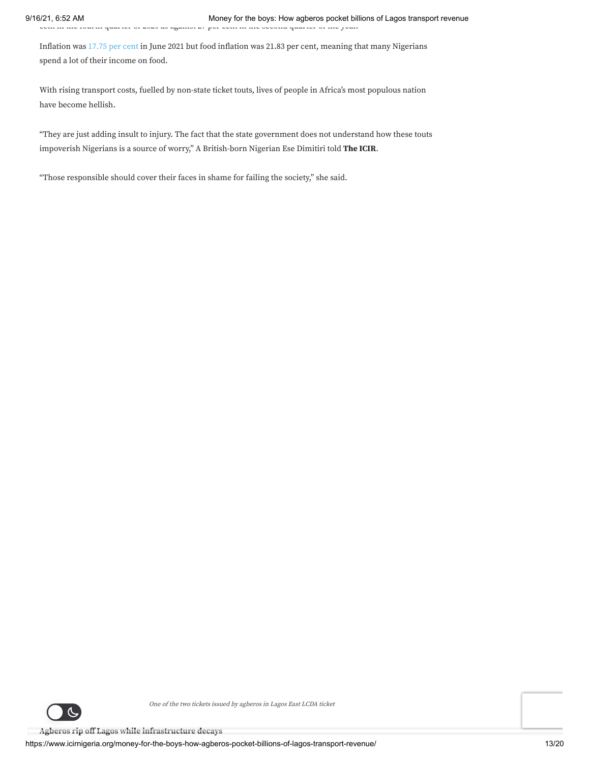Inflation was [17.75](https://www.icirnigeria.org/inflation-rate-drops-further-to-17-75-in-june-but-nigerians-cant-buy-food/) per cent in June 2021 but food inflation was 21.83 per cent, meaning that many Nigerians spend a lot of their income on food.

With rising transport costs, fuelled by non-state ticket touts, lives of people in Africa's most populous nation have become hellish.

"They are just adding insult to injury. The fact that the state government does not understand how these touts impoverish Nigerians is a source of worry," A British-born Nigerian Ese Dimitiri told **The ICIR**.

"Those responsible should cover their faces in shame for failing the society," she said.



One of the two tickets issued by agberos in Lagos East LCDA ticket

**Agberos rip off Lagos while infrastructure decays**

https://www.icirnigeria.org/money-for-the-boys-how-agberos-pocket-billions-of-lagos-transport-revenue/ 13/20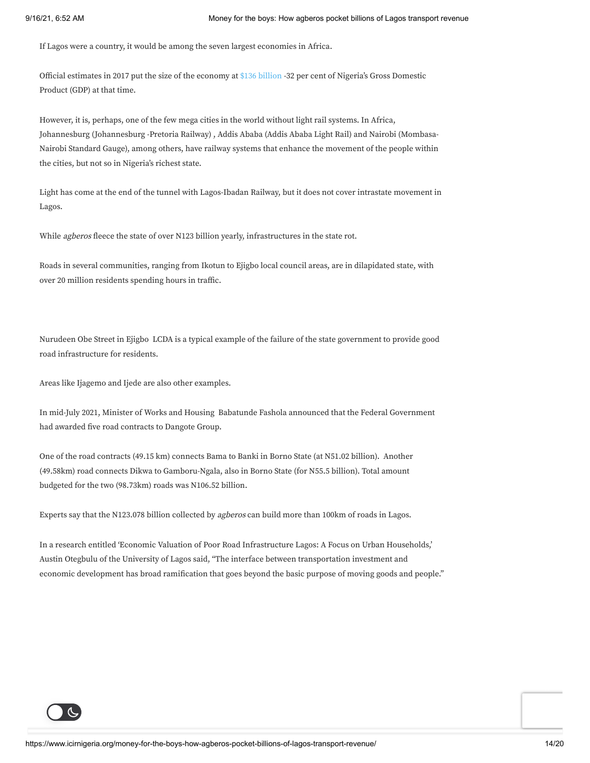If Lagos were a country, it would be among the seven largest economies in Africa.

Official estimates in 2017 put the size of the economy at \$136 [billion](https://www.ft.com/content/ff0595e4-26de-11e8-b27e-cc62a39d57a0) -32 per cent of Nigeria's Gross Domestic Product (GDP) at that time.

However, it is, perhaps, one of the few mega cities in the world without light rail systems. In Africa, Johannesburg (Johannesburg -Pretoria Railway) , Addis Ababa (Addis Ababa Light Rail) and Nairobi (Mombasa-Nairobi Standard Gauge), among others, have railway systems that enhance the movement of the people within the cities, but not so in Nigeria's richest state.

Light has come at the end of the tunnel with Lagos-Ibadan Railway, but it does not cover intrastate movement in Lagos.

While *agberos* fleece the state of over N123 billion yearly, infrastructures in the state rot.

Roads in several communities, ranging from Ikotun to Ejigbo local council areas, are in dilapidated state, with over 20 million residents spending hours in traffic.

Nurudeen Obe Street in Ejigbo LCDA is a typical example of the failure of the state government to provide good road infrastructure for residents.

Areas like Ijagemo and Ijede are also other examples.

In mid-July 2021, Minister of Works and Housing Babatunde Fashola announced that the Federal Government had awarded five road contracts to Dangote Group.

One of the road contracts (49.15 km) connects Bama to Banki in Borno State (at N51.02 billion). Another (49.58km) road connects Dikwa to Gamboru-Ngala, also in Borno State (for N55.5 billion). Total amount budgeted for the two (98.73km) roads was N106.52 billion.

Experts say that the N123.078 billion collected by agberos can build more than 100km of roads in Lagos.

In a research entitled 'Economic Valuation of Poor Road Infrastructure Lagos: A Focus on Urban Households,' Austin Otegbulu of the University of Lagos said, "The interface between transportation investment and economic development has broad ramification that goes beyond the basic purpose of moving goods and people."

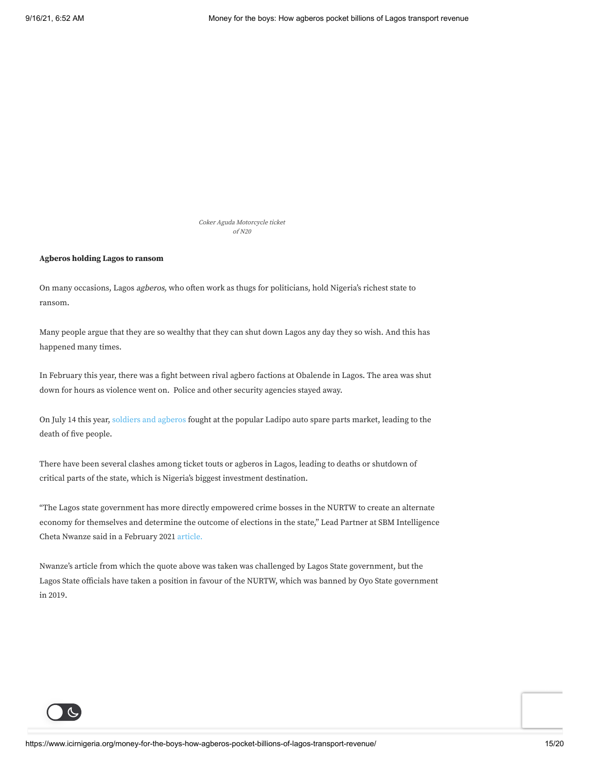Coker Aguda Motorcycle ticket of N20

#### **Agberos holding Lagos to ransom**

On many occasions, Lagos agberos, who often work as thugs for politicians, hold Nigeria's richest state to ransom.

Many people argue that they are so wealthy that they can shut down Lagos any day they so wish. And this has happened many times.

In February this year, there was a fight between rival agbero factions at Obalende in Lagos. The area was shut down for hours as violence went on. Police and other security agencies stayed away.

On July 14 this year, soldiers and [agberos](https://thenationonlineng.net/several-killed-in-soldiers-touts-clash-at-ladipo-market/) fought at the popular Ladipo auto spare parts market, leading to the death of five people.

There have been several clashes among ticket touts or agberos in Lagos, leading to deaths or shutdown of critical parts of the state, which is Nigeria's biggest investment destination.

"The Lagos state government has more directly empowered crime bosses in the NURTW to create an alternate economy for themselves and determine the outcome of elections in the state," Lead Partner at SBM Intelligence Cheta Nwanze said in a February 2021 [article.](https://businessday.ng/columnist/article/lagos-is-hurting-investor-confidence/?login=success)

Nwanze's article from which the quote above was taken was challenged by Lagos State government, but the Lagos State officials have taken a position in favour of the NURTW, which was banned by Oyo State government in 2019.

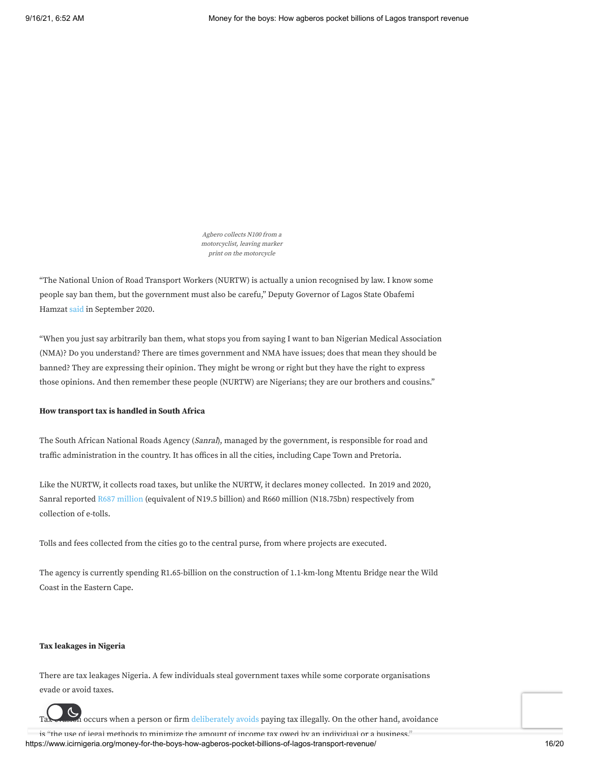Agbero collects N100 from <sup>a</sup> motorcyclist, leaving marker print on the motorcycle

"The National Union of Road Transport Workers (NURTW) is actually a union recognised by law. I know some people say ban them, but the government must also be carefu," Deputy Governor of Lagos State Obafemi Hamzat [said](https://thenationonlineng.net/why-we-cant-ban-agbero-in-lagos-hamzat/) in September 2020.

"When you just say arbitrarily ban them, what stops you from saying I want to ban Nigerian Medical Association (NMA)? Do you understand? There are times government and NMA have issues; does that mean they should be banned? They are expressing their opinion. They might be wrong or right but they have the right to express those opinions. And then remember these people (NURTW) are Nigerians; they are our brothers and cousins."

#### **How transport tax is handled in South Africa**

The South African National Roads Agency (Sanral), managed by the government, is responsible for road and traffic administration in the country. It has offices in all the cities, including Cape Town and Pretoria.

Like the NURTW, it collects road taxes, but unlike the NURTW, it declares money collected. In 2019 and 2020, Sanral reported R687 [million](https://mybroadband.co.za/news/motoring/399675-spending-over-r5-billion-to-collect-r10-billion-in-e-tolls.html) (equivalent of N19.5 billion) and R660 million (N18.75bn) respectively from collection of e-tolls.

Tolls and fees collected from the cities go to the central purse, from where projects are executed.

The agency is currently spending R1.65-billion on the construction of 1.1-km-long Mtentu Bridge near the Wild Coast in the Eastern Cape.

### **Tax leakages in Nigeria**

There are tax leakages Nigeria. A few individuals steal government taxes while some corporate organisations evade or avoid taxes.



https://www.icirnigeria.org/money-for-the-boys-how-agberos-pocket-billions-of-lagos-transport-revenue/ 16/20 is "the use of legal methods to minimize the amount of income tax owed by an individual or a business,"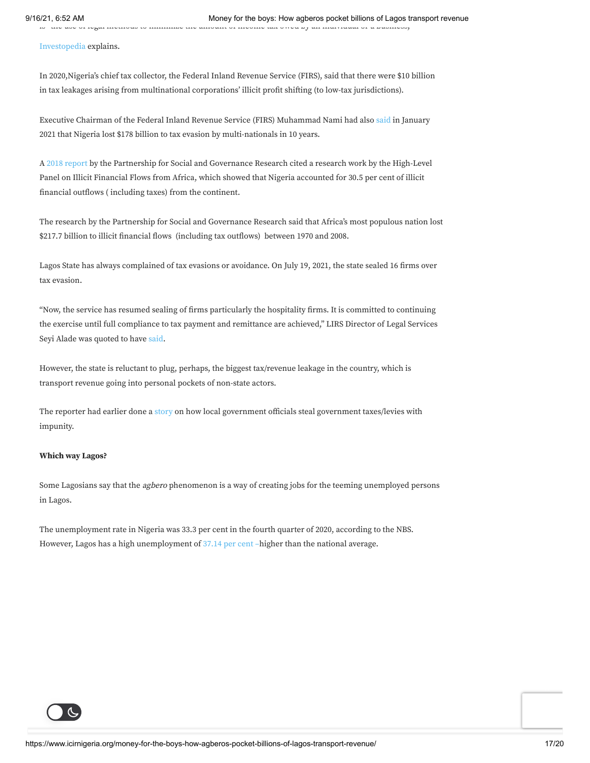[Investopedia](https://www.investopedia.com/terms/t/tax_avoidance.asp) explains.

In 2020,Nigeria's chief tax collector, the Federal Inland Revenue Service (FIRS), said that there were \$10 billion in tax leakages arising from multinational corporations' illicit profit shifting (to low-tax jurisdictions).

Executive Chairman of the Federal Inland Revenue Service (FIRS) Muhammad Nami had also [said](https://www.vanguardngr.com/2021/01/how-nigeria-lost-178bn-to-tax-evasion-by-multi-nationals-%E2%80%95-firs-boss/) in January 2021 that Nigeria lost \$178 billion to tax evasion by multi-nationals in 10 years.

A 2018 [report](https://www.pasgr.org/wp-content/uploads/2018/09/Nigeria-Illicit-Financial-Flows-Report.pdf) by the Partnership for Social and Governance Research cited a research work by the High-Level Panel on Illicit Financial Flows from Africa, which showed that Nigeria accounted for 30.5 per cent of illicit financial outflows ( including taxes) from the continent.

The research by the Partnership for Social and Governance Research said that Africa's most populous nation lost \$217.7 billion to illicit financial flows (including tax outflows) between 1970 and 2008.

Lagos State has always complained of tax evasions or avoidance. On July 19, 2021, the state sealed 16 firms over tax evasion.

"Now, the service has resumed sealing of firms particularly the hospitality firms. It is committed to continuing the exercise until full compliance to tax payment and remittance are achieved," LIRS Director of Legal Services Seyi Alade was quoted to have [said](https://www.premiumtimesng.com/regional/ssouth-west/474631-lagos-govt-seals-16-firms-over-tax-evasion.html).

However, the state is reluctant to plug, perhaps, the biggest tax/revenue leakage in the country, which is transport revenue going into personal pockets of non-state actors.

The reporter had earlier done a [story](https://www.icirnigeria.org/inside-lagos-local-government-councils-where-officials-divert-taxes-to-personal-bank-accounts/) on how local government officials steal government taxes/levies with impunity.

#### **Which way Lagos?**

Some Lagosians say that the *agbero* phenomenon is a way of creating jobs for the teeming unemployed persons in Lagos.

The unemployment rate in Nigeria was 33.3 per cent in the fourth quarter of 2020, according to the NBS. However, Lagos has a high unemployment of [37.14](https://www.proshareng.com/report/Nigerian%20Economy/Q4-2020-Unemployment-Report---NBS/14502) per cent –higher than the national average.

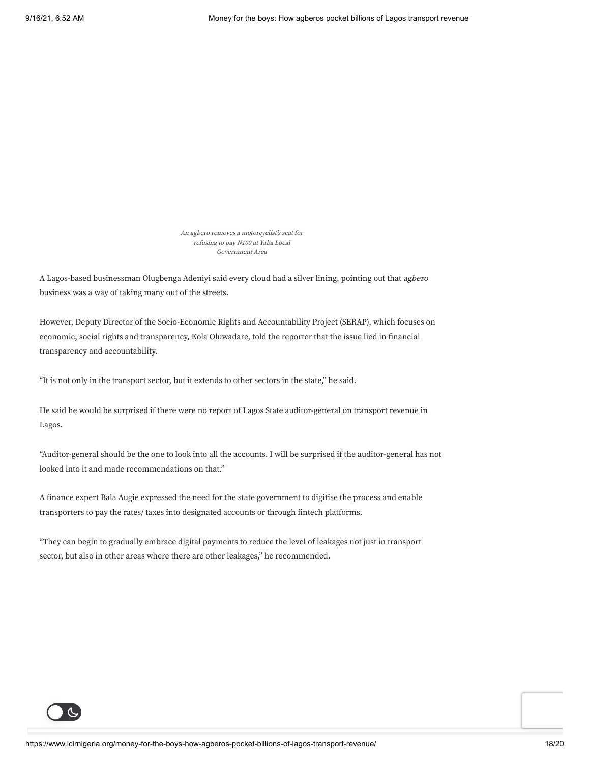An agbero removes <sup>a</sup> motorcyclist's seat for refusing to pay N100 at Yaba Local Government Area

A Lagos-based businessman Olugbenga Adeniyi said every cloud had a silver lining, pointing out that agbero business was a way of taking many out of the streets.

However, Deputy Director of the Socio-Economic Rights and Accountability Project (SERAP), which focuses on economic, social rights and transparency, Kola Oluwadare, told the reporter that the issue lied in financial transparency and accountability.

"It is not only in the transport sector, but it extends to other sectors in the state," he said.

He said he would be surprised if there were no report of Lagos State auditor-general on transport revenue in Lagos.

"Auditor-general should be the one to look into all the accounts. I will be surprised if the auditor-general has not looked into it and made recommendations on that."

A finance expert Bala Augie expressed the need for the state government to digitise the process and enable transporters to pay the rates/ taxes into designated accounts or through fintech platforms.

"They can begin to gradually embrace digital payments to reduce the level of leakages not just in transport sector, but also in other areas where there are other leakages," he recommended.

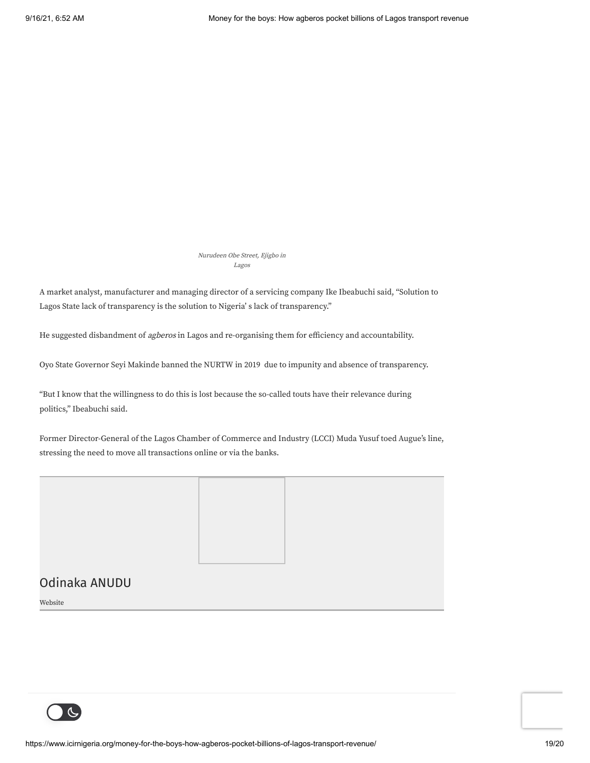Nurudeen Obe Street, Ejigbo in Lagos

A market analyst, manufacturer and managing director of a servicing company Ike Ibeabuchi said, "Solution to Lagos State lack of transparency is the solution to Nigeria' s lack of transparency."

He suggested disbandment of agberos in Lagos and re-organising them for efficiency and accountability.

Oyo State Governor Seyi Makinde banned the NURTW in 2019 due to impunity and absence of transparency.

"But I know that the willingness to do this is lost because the so-called touts have their relevance during politics," Ibeabuchi said.

Former Director-General of the Lagos Chamber of Commerce and Industry (LCCI) Muda Yusuf toed Augue's line, stressing the need to move all transactions online or via the banks.